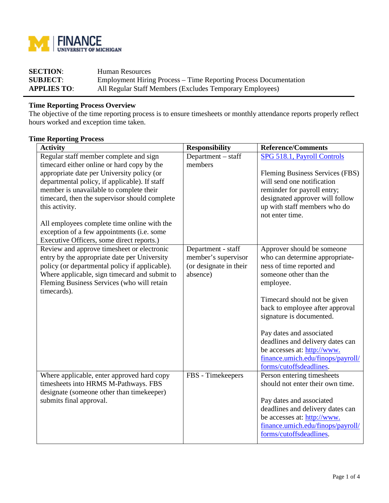

| <b>SECTION:</b>    | Human Resources                                                  |
|--------------------|------------------------------------------------------------------|
| <b>SUBJECT:</b>    | Employment Hiring Process – Time Reporting Process Documentation |
| <b>APPLIES TO:</b> | All Regular Staff Members (Excludes Temporary Employees)         |

## **Time Reporting Process Overview**

The objective of the time reporting process is to ensure timesheets or monthly attendance reports properly reflect hours worked and exception time taken.

## **Time Reporting Process**

| <b>Activity</b>                                           | <b>Responsibility</b>  | <b>Reference/Comments</b>         |  |
|-----------------------------------------------------------|------------------------|-----------------------------------|--|
| Regular staff member complete and sign                    | Department – staff     | SPG 518.1, Payroll Controls       |  |
| timecard either online or hard copy by the                | members                |                                   |  |
| appropriate date per University policy (or                |                        | Fleming Business Services (FBS)   |  |
| departmental policy, if applicable). If staff             |                        | will send one notification        |  |
| member is unavailable to complete their                   |                        | reminder for payroll entry;       |  |
| timecard, then the supervisor should complete             |                        | designated approver will follow   |  |
| this activity.                                            |                        | up with staff members who do      |  |
|                                                           |                        | not enter time.                   |  |
| All employees complete time online with the               |                        |                                   |  |
| exception of a few appointments (i.e. some                |                        |                                   |  |
| Executive Officers, some direct reports.)                 |                        |                                   |  |
| Review and approve timesheet or electronic                | Department - staff     | Approver should be someone        |  |
| entry by the appropriate date per University              | member's supervisor    | who can determine appropriate-    |  |
| policy (or departmental policy if applicable).            | (or designate in their | ness of time reported and         |  |
| Where applicable, sign timecard and submit to             | absence)               | someone other than the            |  |
| Fleming Business Services (who will retain<br>timecards). |                        | employee.                         |  |
|                                                           |                        | Timecard should not be given      |  |
|                                                           |                        | back to employee after approval   |  |
|                                                           |                        | signature is documented.          |  |
|                                                           |                        |                                   |  |
|                                                           |                        | Pay dates and associated          |  |
|                                                           |                        | deadlines and delivery dates can  |  |
|                                                           |                        | be accesses at: http://www.       |  |
|                                                           |                        | finance.umich.edu/finops/payroll/ |  |
|                                                           |                        | forms/cutoffsdeadlines.           |  |
| Where applicable, enter approved hard copy                | FBS - Timekeepers      | Person entering timesheets        |  |
| timesheets into HRMS M-Pathways. FBS                      |                        | should not enter their own time.  |  |
| designate (someone other than timekeeper)                 |                        |                                   |  |
| submits final approval.                                   |                        | Pay dates and associated          |  |
|                                                           |                        | deadlines and delivery dates can  |  |
|                                                           |                        | be accesses at: http://www.       |  |
|                                                           |                        | finance.umich.edu/finops/payroll/ |  |
|                                                           |                        | forms/cutoffsdeadlines.           |  |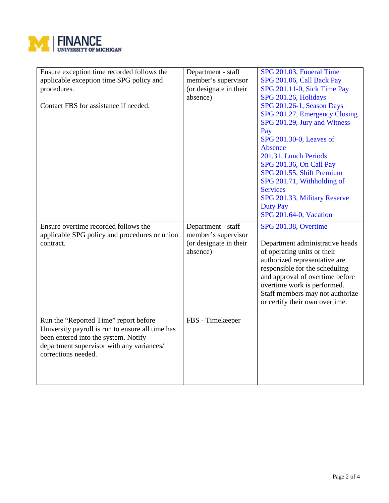

| Ensure exception time recorded follows the<br>applicable exception time SPG policy and<br>procedures.<br>Contact FBS for assistance if needed.                                                        | Department - staff<br>member's supervisor<br>(or designate in their<br>absence) | SPG 201.03, Funeral Time<br>SPG 201.06, Call Back Pay<br>SPG 201.11-0, Sick Time Pay<br>SPG 201.26, Holidays<br>SPG 201.26-1, Season Days<br>SPG 201.27, Emergency Closing<br>SPG 201.29, Jury and Witness<br>Pay<br>SPG 201.30-0, Leaves of<br>Absence<br>201.31, Lunch Periods<br>SPG 201.36, On Call Pay<br>SPG 201.55, Shift Premium<br>SPG 201.71, Withholding of<br><b>Services</b><br>SPG 201.33, Military Reserve<br><b>Duty Pay</b> |
|-------------------------------------------------------------------------------------------------------------------------------------------------------------------------------------------------------|---------------------------------------------------------------------------------|----------------------------------------------------------------------------------------------------------------------------------------------------------------------------------------------------------------------------------------------------------------------------------------------------------------------------------------------------------------------------------------------------------------------------------------------|
|                                                                                                                                                                                                       |                                                                                 | SPG 201.64-0, Vacation                                                                                                                                                                                                                                                                                                                                                                                                                       |
| Ensure overtime recorded follows the<br>applicable SPG policy and procedures or union<br>contract.                                                                                                    | Department - staff<br>member's supervisor<br>(or designate in their<br>absence) | SPG 201.38, Overtime<br>Department administrative heads<br>of operating units or their<br>authorized representative are<br>responsible for the scheduling<br>and approval of overtime before<br>overtime work is performed.<br>Staff members may not authorize<br>or certify their own overtime.                                                                                                                                             |
| Run the "Reported Time" report before<br>University payroll is run to ensure all time has<br>been entered into the system. Notify<br>department supervisor with any variances/<br>corrections needed. | FBS - Timekeeper                                                                |                                                                                                                                                                                                                                                                                                                                                                                                                                              |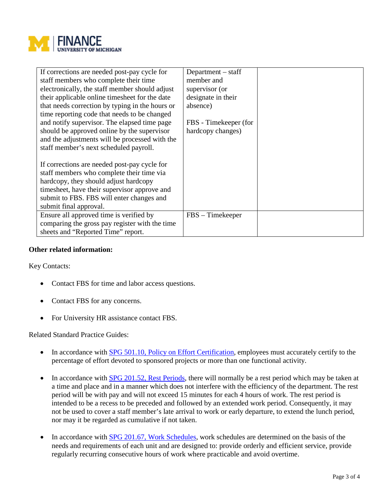

| If corrections are needed post-pay cycle for    | Department $-$ staff  |  |
|-------------------------------------------------|-----------------------|--|
| staff members who complete their time           | member and            |  |
| electronically, the staff member should adjust  | supervisor (or        |  |
| their applicable online timesheet for the date  | designate in their    |  |
| that needs correction by typing in the hours or | absence)              |  |
| time reporting code that needs to be changed    |                       |  |
| and notify supervisor. The elapsed time page    | FBS - Timekeeper (for |  |
| should be approved online by the supervisor     | hardcopy changes)     |  |
| and the adjustments will be processed with the  |                       |  |
| staff member's next scheduled payroll.          |                       |  |
|                                                 |                       |  |
| If corrections are needed post-pay cycle for    |                       |  |
| staff members who complete their time via       |                       |  |
| hardcopy, they should adjust hardcopy           |                       |  |
| timesheet, have their supervisor approve and    |                       |  |
| submit to FBS. FBS will enter changes and       |                       |  |
| submit final approval.                          |                       |  |
| Ensure all approved time is verified by         | $FBS - Timekeeper$    |  |
| comparing the gross pay register with the time  |                       |  |
| sheets and "Reported Time" report.              |                       |  |

## **Other related information:**

Key Contacts:

- Contact FBS for time and labor access questions.
- Contact FBS for any concerns.
- For University HR assistance contact FBS.

Related Standard Practice Guides:

- In accordance with **SPG 501.10, Policy on Effort Certification**, employees must accurately certify to the percentage of effort devoted to sponsored projects or more than one functional activity.
- In accordance with [SPG 201.52, Rest Periods,](http://spg.umich.edu/pdf/201.52.pdf) there will normally be a rest period which may be taken at a time and place and in a manner which does not interfere with the efficiency of the department. The rest period will be with pay and will not exceed 15 minutes for each 4 hours of work. The rest period is intended to be a recess to be preceded and followed by an extended work period. Consequently, it may not be used to cover a staff member's late arrival to work or early departure, to extend the lunch period, nor may it be regarded as cumulative if not taken.
- In accordance with [SPG 201.67, Work Schedules,](http://spg.umich.edu/pdf/201.67.pdf) work schedules are determined on the basis of the needs and requirements of each unit and are designed to: provide orderly and efficient service, provide regularly recurring consecutive hours of work where practicable and avoid overtime.